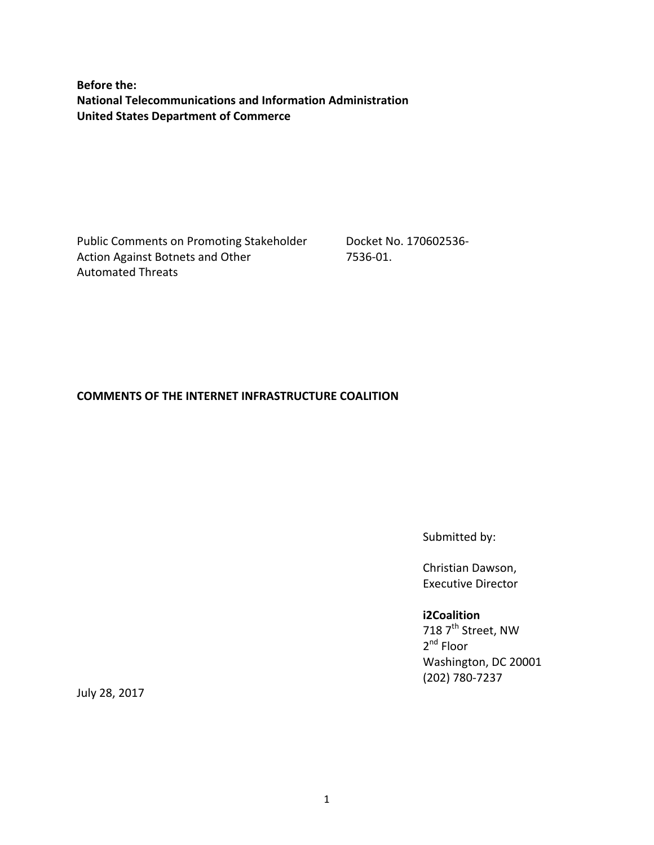**Before the: National Telecommunications and Information Administration United States Department of Commerce**

Public Comments on Promoting Stakeholder Action Against Botnets and Other Automated Threats

Docket No. 170602536- 7536-01.

#### **COMMENTS OF THE INTERNET INFRASTRUCTURE COALITION**

Submitted by:

Christian Dawson, Executive Director

#### **i2Coalition**

718  $7^{\text{th}}$  Street, NW 2<sup>nd</sup> Floor Washington, DC 20001 (202) 780-7237

July 28, 2017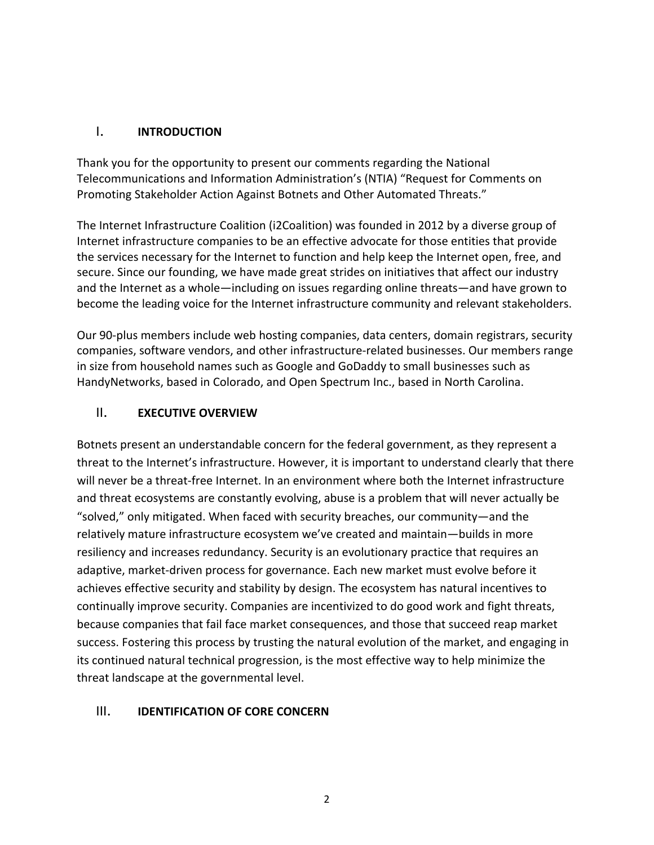### I. **INTRODUCTION**

Thank you for the opportunity to present our comments regarding the National Telecommunications and Information Administration's (NTIA) "Request for Comments on Promoting Stakeholder Action Against Botnets and Other Automated Threats."

The Internet Infrastructure Coalition (i2Coalition) was founded in 2012 by a diverse group of Internet infrastructure companies to be an effective advocate for those entities that provide the services necessary for the Internet to function and help keep the Internet open, free, and secure. Since our founding, we have made great strides on initiatives that affect our industry and the Internet as a whole—including on issues regarding online threats—and have grown to become the leading voice for the Internet infrastructure community and relevant stakeholders.

Our 90-plus members include web hosting companies, data centers, domain registrars, security companies, software vendors, and other infrastructure-related businesses. Our members range in size from household names such as Google and GoDaddy to small businesses such as HandyNetworks, based in Colorado, and Open Spectrum Inc., based in North Carolina.

## II. **EXECUTIVE OVERVIEW**

Botnets present an understandable concern for the federal government, as they represent a threat to the Internet's infrastructure. However, it is important to understand clearly that there will never be a threat-free Internet. In an environment where both the Internet infrastructure and threat ecosystems are constantly evolving, abuse is a problem that will never actually be "solved," only mitigated. When faced with security breaches, our community—and the relatively mature infrastructure ecosystem we've created and maintain—builds in more resiliency and increases redundancy. Security is an evolutionary practice that requires an adaptive, market-driven process for governance. Each new market must evolve before it achieves effective security and stability by design. The ecosystem has natural incentives to continually improve security. Companies are incentivized to do good work and fight threats, because companies that fail face market consequences, and those that succeed reap market success. Fostering this process by trusting the natural evolution of the market, and engaging in its continued natural technical progression, is the most effective way to help minimize the threat landscape at the governmental level.

#### III. **IDENTIFICATION OF CORE CONCERN**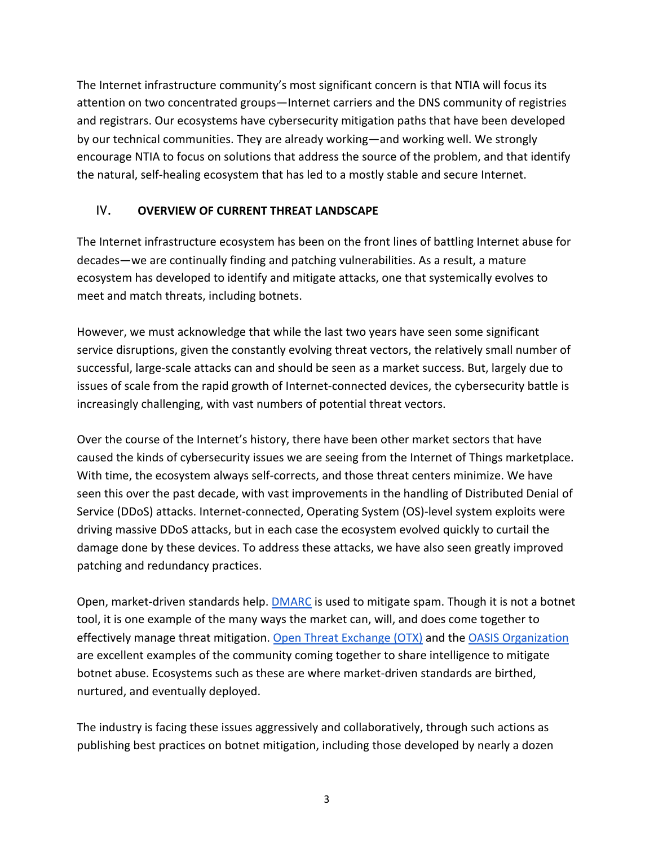The Internet infrastructure community's most significant concern is that NTIA will focus its attention on two concentrated groups—Internet carriers and the DNS community of registries and registrars. Our ecosystems have cybersecurity mitigation paths that have been developed by our technical communities. They are already working—and working well. We strongly encourage NTIA to focus on solutions that address the source of the problem, and that identify the natural, self-healing ecosystem that has led to a mostly stable and secure Internet.

# IV. **OVERVIEW OF CURRENT THREAT LANDSCAPE**

The Internet infrastructure ecosystem has been on the front lines of battling Internet abuse for decades—we are continually finding and patching vulnerabilities. As a result, a mature ecosystem has developed to identify and mitigate attacks, one that systemically evolves to meet and match threats, including botnets.

However, we must acknowledge that while the last two years have seen some significant service disruptions, given the constantly evolving threat vectors, the relatively small number of successful, large-scale attacks can and should be seen as a market success. But, largely due to issues of scale from the rapid growth of Internet-connected devices, the cybersecurity battle is increasingly challenging, with vast numbers of potential threat vectors.

Over the course of the Internet's history, there have been other market sectors that have caused the kinds of cybersecurity issues we are seeing from the Internet of Things marketplace. With time, the ecosystem always self-corrects, and those threat centers minimize. We have seen this over the past decade, with vast improvements in the handling of Distributed Denial of Service (DDoS) attacks. Internet-connected, Operating System (OS)-level system exploits were driving massive DDoS attacks, but in each case the ecosystem evolved quickly to curtail the damage done by these devices. To address these attacks, we have also seen greatly improved patching and redundancy practices.

Open, market-driven standards help. DMARC is used to mitigate spam. Though it is not a botnet tool, it is one example of the many ways the market can, will, and does come together to effectively manage threat mitigation. Open Threat Exchange (OTX) and the OASIS Organization are excellent examples of the community coming together to share intelligence to mitigate botnet abuse. Ecosystems such as these are where market-driven standards are birthed, nurtured, and eventually deployed.

The industry is facing these issues aggressively and collaboratively, through such actions as publishing best practices on botnet mitigation, including those developed by nearly a dozen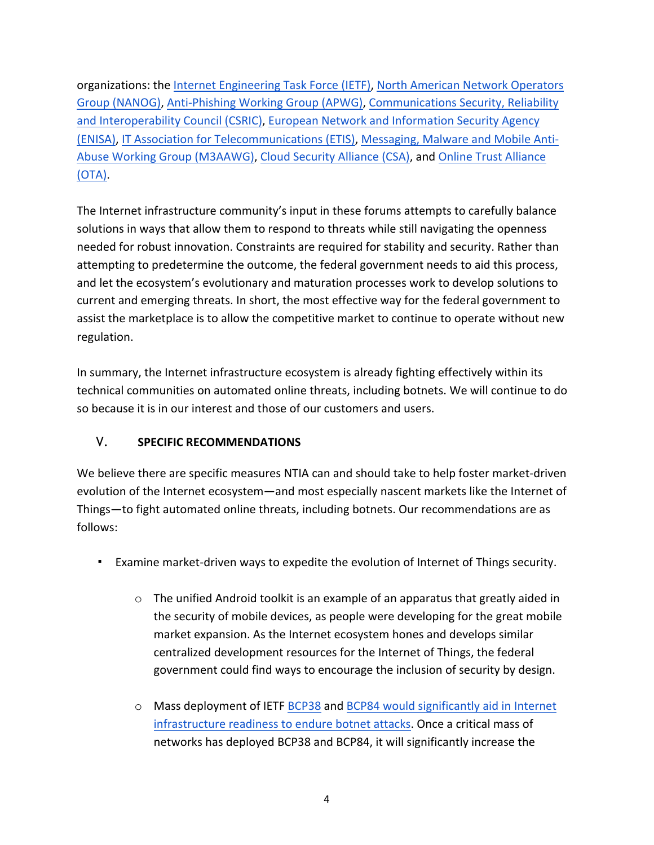organizations: the Internet Engineering Task Force (IETF), North American Network Operators Group (NANOG), Anti-Phishing Working Group (APWG), Communications Security, Reliability and Interoperability Council (CSRIC), European Network and Information Security Agency (ENISA), IT Association for Telecommunications (ETIS), Messaging, Malware and Mobile Anti-Abuse Working Group (M3AAWG), Cloud Security Alliance (CSA), and Online Trust Alliance (OTA).

The Internet infrastructure community's input in these forums attempts to carefully balance solutions in ways that allow them to respond to threats while still navigating the openness needed for robust innovation. Constraints are required for stability and security. Rather than attempting to predetermine the outcome, the federal government needs to aid this process, and let the ecosystem's evolutionary and maturation processes work to develop solutions to current and emerging threats. In short, the most effective way for the federal government to assist the marketplace is to allow the competitive market to continue to operate without new regulation.

In summary, the Internet infrastructure ecosystem is already fighting effectively within its technical communities on automated online threats, including botnets. We will continue to do so because it is in our interest and those of our customers and users.

# V. **SPECIFIC RECOMMENDATIONS**

We believe there are specific measures NTIA can and should take to help foster market-driven evolution of the Internet ecosystem—and most especially nascent markets like the Internet of Things—to fight automated online threats, including botnets. Our recommendations are as follows:

- Examine market-driven ways to expedite the evolution of Internet of Things security.
	- o The unified Android toolkit is an example of an apparatus that greatly aided in the security of mobile devices, as people were developing for the great mobile market expansion. As the Internet ecosystem hones and develops similar centralized development resources for the Internet of Things, the federal government could find ways to encourage the inclusion of security by design.
	- o Mass deployment of IETF BCP38 and BCP84 would significantly aid in Internet infrastructure readiness to endure botnet attacks. Once a critical mass of networks has deployed BCP38 and BCP84, it will significantly increase the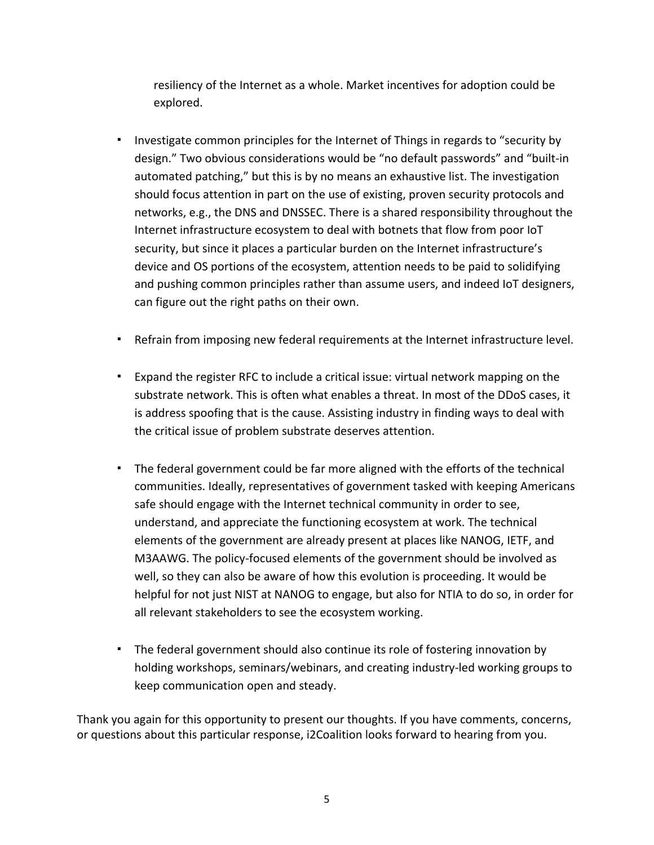resiliency of the Internet as a whole. Market incentives for adoption could be explored.

- Investigate common principles for the Internet of Things in regards to "security by design." Two obvious considerations would be "no default passwords" and "built-in automated patching," but this is by no means an exhaustive list. The investigation should focus attention in part on the use of existing, proven security protocols and networks, e.g., the DNS and DNSSEC. There is a shared responsibility throughout the Internet infrastructure ecosystem to deal with botnets that flow from poor IoT security, but since it places a particular burden on the Internet infrastructure's device and OS portions of the ecosystem, attention needs to be paid to solidifying and pushing common principles rather than assume users, and indeed IoT designers, can figure out the right paths on their own.
- Refrain from imposing new federal requirements at the Internet infrastructure level.
- Expand the register RFC to include a critical issue: virtual network mapping on the substrate network. This is often what enables a threat. In most of the DDoS cases, it is address spoofing that is the cause. Assisting industry in finding ways to deal with the critical issue of problem substrate deserves attention.
- The federal government could be far more aligned with the efforts of the technical communities. Ideally, representatives of government tasked with keeping Americans safe should engage with the Internet technical community in order to see, understand, and appreciate the functioning ecosystem at work. The technical elements of the government are already present at places like NANOG, IETF, and M3AAWG. The policy-focused elements of the government should be involved as well, so they can also be aware of how this evolution is proceeding. It would be helpful for not just NIST at NANOG to engage, but also for NTIA to do so, in order for all relevant stakeholders to see the ecosystem working.
- The federal government should also continue its role of fostering innovation by holding workshops, seminars/webinars, and creating industry-led working groups to keep communication open and steady.

Thank you again for this opportunity to present our thoughts. If you have comments, concerns, or questions about this particular response, i2Coalition looks forward to hearing from you.